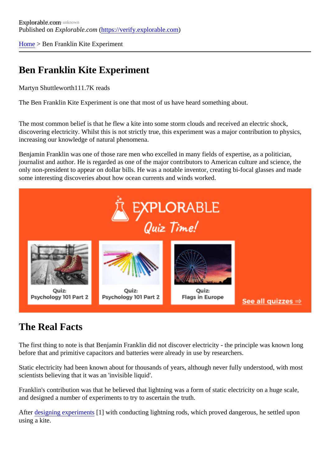[Home](https://verify.explorable.com/)> Ben Franklin Kite Experiment

## Ben Franklin Kite Experiment

Martyn Shuttleworth11.7K reads

The Ben Franklin Kite Experiment is one that most of us have heard something about.

The most common belief is that he flew a kite into some storm clouds and received an electric shock, discovering electricity. Whilst this is not strictly true, this experiment was a major contribution to physics, increasing our knowledge of natural phenomena.

Benjamin Franklin was one of those rare men who excelled in many fields of expertise, as a politician, journalist and author. He is regarded as one of the major contributors to American culture and science, the only non-president to appear on dollar bills. He was a notable inventor, creating bi-focal glasses and made some interesting discoveries about how ocean currents and winds worked.

## The Real Facts

The first thing to note is that Benjamin Franklin did not discover electricity - the principle was known long before that and primitive capacitors and batteries were already in use by researchers.

Static electricity had been known about for thousands of years, although never fully understood, with most scientists believing that it was an 'invisible liquid'.

Franklin's contribution was that he believed that lightning was a form of static electricity on a huge scale, and designed a number of experiments to try to ascertain the truth.

After [designing experimen](https://verify.explorable.com/design-of-experiment)ts with conducting lightning rods, which proved dangerous, he settled upon using a kite.